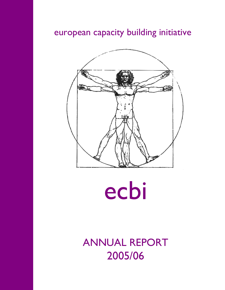# european capacity building initiative



ecbi

ANNUAL REPORT 2005/06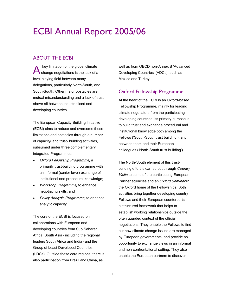# ECBI Annual Report 2005/06

# ABOUT THE ECBI

key limitation of the global climate change negotiations is the lack of a level playing field between many delegations, particularly North-South, and South-South. Other major obstacles are mutual misunderstanding and a lack of trust, above all between industrialised and developing countries. A

The European Capacity Building Initiative (ECBI) aims to reduce and overcome these limitations and obstacles through a number of capacity- and trust- building activities, subsumed under three complementary integrated Programmes:

- Oxford Fellowship Programme, a primarily trust-building programme with an informal (senior level) exchange of institutional and procedural knowledge;
- Workshop Programme, to enhance negotiating skills; and
- **Policy Analysis Programme, to enhance** analytic capacity.

The core of the ECBI is focused on collaborations with European and developing countries from Sub-Saharan Africa, South Asia – including the regional leaders South Africa and India – and the Group of Least Developed Countries (LDCs). Outside these core regions, there is also participation from Brazil and China, as

well as from OECD non-Annex B 'Advanced Developing Countries' (ADCs), such as Mexico and Turkey.

# Oxford Fellowship Programme

At the heart of the ECBI is an Oxford-based Fellowship Programme, mainly for leading climate negotiators from the participating developing countries. Its primary purpose is to build trust and exchange procedural and institutional knowledge both among the Fellows ('South-South trust building'), and between them and their European colleagues ('North-South trust building').

The North-South element of this trustbuilding effort is carried out through Country Visits to some of the participating European Partner agencies and an Oxford Seminar in the Oxford home of the Fellowships. Both activities bring together developing country Fellows and their European counterparts in a structured framework that helps to establish working relationships outside the often guarded context of the official negotiations. They enable the Fellows to find out how climate change issues are managed by European governments, and provide an opportunity to exchange views in an informal and non-confrontational setting. They also enable the European partners to discover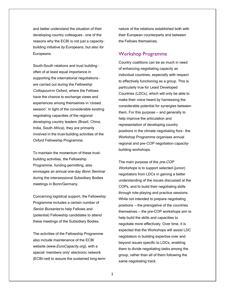and better understand the situation of their developing country colleagues – one of the reasons why the ECBI is not just a capacitybuilding initiative by Europeans, but also for Europeans.

South-South relations and trust building – often of at least equal importance in supporting the international negotiations – are carried out during the Fellowship Colloquium in Oxford, where the Fellows have the chance to exchange views and experiences among themselves in 'closed session'. In light of the considerable existing negotiating capacities of the regional developing country leaders (Brazil, China, India, South Africa), they are primarily involved in the trust-building activities of the Oxford Fellowship Programme.

To maintain the momentum of these trustbuilding activities, the Fellowship Programme, funding permitting, also envisages an annual one-day Bonn Seminar during the intersessional Subsidiary Bodies meetings in Bonn/Germany.

Concerning logistical support, the Fellowship Programme includes a certain number of Senior Bursaries to help Fellows and (potential) Fellowship candidates to attend these meetings of the Subsidiary Bodies.

The activities of the Fellowship Programme also include maintenance of the ECBI website ([www.EuroCapacity.org](http://www.eurocapacity.org/)), with a special 'members only' electronic network (ECBI-net) to assure the sustained long-term nature of the relations established both with their European counterparts and between the Fellows themselves.

# Workshop Programme

Country coalitions can be as much in need of enhancing negotiating capacity as individual countries, especially with respect to effectively functioning as a group. This is particularly true for Least Developed Countries (LDCs), which will only be able to make their voice heard by harnessing the considerable potential for synergies between them. For this purpose — and generally to help improve the articulation and representation of developing country positions in the climate negotiating fora – the Workshop Programme organises annual regional and pre-COP negotiation capacitybuilding workshops.

The main purpose of the pre-COP Workshops is to support selected (junior) negotiators from LDCs in gaining a better understanding of the issues discussed at the COPs, and to build their negotiating skills through role-playing and practice sessions. While not intended to prepare negotiating positions — the prerogative of the countries themselves — the pre-COP workshops aim to help build the skills and capacities to negotiate more effectively. Over time, it is expected that the Workshops will assist LDC negotiators in building expertise over and beyond issues specific to LDCs, enabling them to divide negotiating tasks among the group, rather than all of them following the same negotiating track.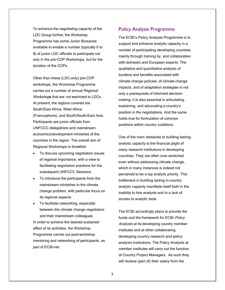To enhance the negotiating capacity of the LDC Group further, the Workshop Programme has some Junior Bursaries available to enable a number (typically 6 to 8) of junior LDC officials to participate not only in the pre-COP Workshops, but for the duration of the COPs.

Other than these (LDC-only) pre-COP workshops, the Workshop Programme carries out a number of annual Regional Workshops that are not restricted to LDCs. At present, the regions covered are South/East Africa, West Africa (Francophone), and South/South-East Asia. Participants are junior officials from UNFCCC delegations and mainstream economics/development ministries of the countries in the region. The overall aim of Regional Workshops is threefold:

- To discuss upcoming negotiation issues of regional importance, with a view to facilitating negotiation positions for the subsequent UNFCCC Sessions.
- To introduce the participants from the mainstream ministries to the climate change problem, with particular focus on its regional aspects.
- To facilitate networking, especially between the climate change negotiators and their mainstream colleagues.

In order to achieve the desired sustained effect of its activities, the Workshop Programme carries out post-workshop mentoring and networking of participants, as part of ECBI-net.

# Policy Analysis Programme

The ECBI's Policy Analysis Programme is to support and enhance analytic capacity in a number of participating developing countries mainly through training by, and collaboration with domestic and European experts. The qualitative and quantitative analysis of burdens and benefits associated with climate change policies, of climate change impacts, and of adaptation strategies is not only a prerequisite of informed decision making; it is also essential in articulating, explaining, and advocating a country's position in the negotiations. And the same holds true for formulation of common positions within country coalitions.

One of the main obstacles to building lasting analytic capacity is the financial plight of many research institutions in developing countries. They are often over-stretched even without addressing climate change, which in many instances is indeed not perceived to be a top analytic priority. This bottleneck in building lasting in-country analytic capacity manifests itself both in the inability to hire analysts and in a lack of access to analytic tools.

The ECBI accordingly plans to provide the funds and the framework for ECBI Policy Analysts at its developing country member institutes and at other collaborating developing country research and policy analysis institutions. The Policy Analysts at member institutes will carry out the function of Country Project Managers. As such they will receive (part of) their salary from the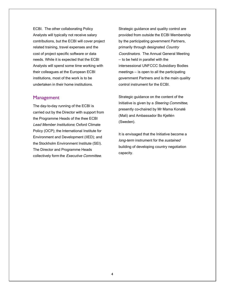ECBI. The other collaborating Policy Analysts will typically not receive salary contributions, but the ECBI will cover project related training, travel expenses and the cost of project specific software or data needs. While it is expected that the ECBI Analysts will spend some time working with their colleagues at the European ECBI institutions, most of the work is to be undertaken in their home institutions.

#### **Management**

The day-to-day running of the ECBI is carried out by the Director with support from the Programme Heads of the thee ECBI Lead Member Institutions: Oxford Climate Policy (OCP); the International Institute for Environment and Development (IIED); and the Stockholm Environment Institute (SEI). The Director and Programme Heads collectively form the Executive Committee.

Strategic guidance and quality control are provided from outside the ECBI Membership by the participating government Partners, primarily through designated Country Coordinators. The Annual General Meeting — to be held in parallel with the intersessional UNFCCC Subsidiary Bodies meetings — is open to all the participating government Partners and is the main quality control instrument for the ECBI.

Strategic guidance on the content of the Initiative is given by a Steering Committee, presently co-chaired by Mr Mama Konaté (Mali) and Ambassador Bo Kjellén (Sweden).

It is envisaged that the Initiative become a long-term instrument for the sustained building of developing country negotiation capacity.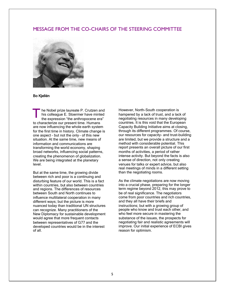# MESSAGE FROM THE CO-CHAIRS OF THE STEERING COMMITTEE



#### Bo Kjellén

he Nobel prize laureate P. Crutzen and his colleague E. Stoermer have minted the expression "the anthropocene era" to characterize our present time. Humans are now influencing the whole earth system for the first time in history. Climate change is one aspect – but not the only – of this new situation. At the same time, new means of information and communications are transforming the world economy, shaping broad networks, influencing social patterns, creating the phenomenon of globalization. We are being integrated at the planetary level. T

But at the same time, the growing divide between rich and poor is a continuing and disturbing feature of our world. This is a fact within countries, but also between countries and regions. The differences of resources between South and North continues to influence multilateral cooperation in many different ways; but the picture is more nuanced today than traditional UN structures can recognize. Many practitioners of the New Diplomacy for sustainable development would agree that more frequent contacts between representatives of G77 and the developed countries would be in the interest of all.

However, North-South cooperation is hampered by a lack of trust, and a lack of negotiating resources in many developing countries. It is this void that the European Capacity Building Initiative aims at closing, through its different programmes. Of course, our resources for capacity- and trust-building are limited, but we provide a structure and a method with considerable potential. This report presents an overall picture of our first months of activities, a period of rather intense activity. But beyond the facts is also a sense of direction, not only creating venues for talks or expert advice, but also real meetings of minds in a different setting than the negotiating rooms.

As the climate negotiations are now moving into a crucial phase, preparing for the longer term regime beyond 2012, this may prove to be of real significance. The negotiators come from poor countries and rich countries, and they all have their briefs and instructions; but with a growing group of people who know and trust each other, and who feel more secure in mastering the substance of the issues, the prospects for negotiating fair and realistic agreements will improve. Our initial experience of ECBI gives reason for optimism.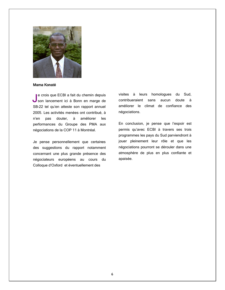

#### Mama Konaté

e crois que ECBI a fait du chemin depuis Je crois que ECBI a fait du chemin depuis<br>Son lancement ici à Bonn en marge de SB-22 tel qu'en atteste son rapport annuel 2005. Les activités menées ont contribué, à n'en pas douter, à améliorer les performances du Groupe des PMA aux négociations de la COP 11 à Montréal.

Je pense personnellement que certaines des suggestions du rapport notamment concernant une plus grande présence des négociateurs européens au cours du Colloque d'Oxford et éventuellement des

visites à leurs homologues du Sud, contribueraient sans aucun doute à améliorer le climat de confiance des négociations.

En conclusion, je pense que l'espoir est permis qu'avec ECBI à travers ses trois programmes les pays du Sud parviendront à jouer pleinement leur rôle et que les négociations pourront se dérouler dans une atmosphère de plus en plus confiante et apaisée.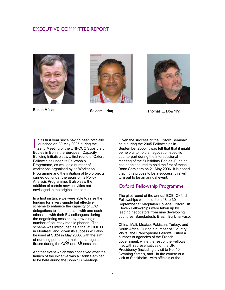# EXECUTIVE COMMITTEE REPORT







Benito Müller **Saleemul Huq Thomas E. Downing** 

n its first year since having been officially launched on 23 May 2005 during the 22nd Meeting of the UNFCCC Subsidiary Bodies in Bonn, the European Capacity Building Initiative saw a first round of Oxford Fellowships under its Fellowship Programme, as well as a number of workshops organised by its Workshop Programme and the initiation of two projects carried out under the aegis of its Policy Analysis Programme. It also saw the addition of certain new activities not envisaged in the original concept. I

In a first instance we were able to raise the funding for a very simple but effective scheme to enhance the capacity of LDC delegations to communicate with one each other and with their EU colleagues during the negotiating session, by providing a number of courtesy mobile phones. The scheme was introduced as a trial at COP11 in Montreal, and, given its success will also be used at SB24 in May 2006, with the aim of (funding permitting) making it a regular fixture during the COP and SB sessions.

Another event which was conceived after the launch of the initiative was a 'Bonn Seminar' to be held during the Bonn SB meetings.

Given the success of the 'Oxford Seminar' held during the 2005 Fellowships in September 2005, it was felt that that it might be helpful to hold a negotiation-specific counterpart during the intersessional meeting of the Subsidiary Bodies. Funding has been secured to hold the first of these Bonn Seminars on 21 May 2006. It is hoped that if this proves to be a success, this will turn out to be an annual event.

# Oxford Fellowship Programme

The pilot round of the annual ECBI Oxford Fellowships was held from 18 to 30 September at Magdalen College, Oxford/UK. Eleven Fellowships were taken up by leading negotiators from nine developing countries: Bangladesh, Brazil, Burkina Faso,

China, Mali, Mexico, Pakistan, Turkey, and South Africa. During a number of 'Country Visits,' the Francophone Fellows visited a number of agencies of the French government, while the rest of the Fellows met with representatives of the UK Presidency (including a visit to No. 10 Downing Street), and – in the course of a visit to Stockholm – with officials of the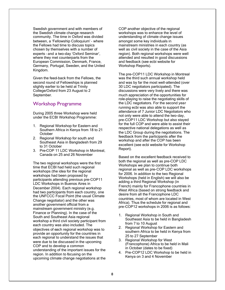Swedish government and with members of the Swedish climate change research community. The time in Oxford was divided between, a 'Fellowship Colloquium' – where the Fellows had time to discuss topics chosen by themselves with a number of experts – and a two-day 'Oxford Seminar', where they met counterparts from the European Commission, Denmark, France, Germany, Portugal, Sweden, and the United Kingdom.

Given the feed-back from the Fellows, the second round of Fellowships is planned slightly earlier to be held at Trinity College/Oxford from 23 August to 2 September.

# Workshop Programme

During 2005 three Workshop were held under the ECBI Workshop Programme:

- 1. Regional Workshop for Eastern and Southern Africa in Kenya from 18 to 21 **October**
- 2. Regional Workshop for south and Southeast Asia in Bangladesh from 29 to 31 October
- 3. Pre-COP 11 LDC Workshop in Montreal, Canada on 25 and 26 November

The two regional workshops were the first time that ECBI had held such regional workshops (the idea for the regional workshops had been proposed by participants attending previous pre-COP11 LDC Workshops in Buenos Aires in December 2004). Each regional workshop had two participants from each country, one the UNFCCC Focal Point (the usual Climate Change negotiator) and the other was another government official from a mainstream government ministry (e.g. Finance or Planning). In the case of the South and Southeast Asia regional workshop a third civil society participant from each country was also included. The objectives of each regional workshop was to provide an opportunity for the countries in each regional to understand the issues that were due to be discussed in the upcoming COP and to develop a common understanding of the important issues for the region. In addition to focusing on the upcoming climate change negotiations at the COP another objective of the regional workshops was to enhance the level of understanding of climate change issues amongst some key individuals in mainstream ministries in each country (as well as civil society in the case of the Asia region). Both regional workshops were well attended and resulted in good discussions and feedback (see ecbi website for Workshop Reports).

The pre-COP11 LDC Workshop in Montreal was the third such annual workshop held and was by far the most well-attended (over 30 LDC negotiators participated). The discussions were very lively and there was much appreciation of the opportunities for role-playing to raise the negotiating skills of the LDC negotiators. For the second year running ecbi was also able to support the attendance of 7 Junior LDC Negotiators who not only were able to attend the two-day, pre-COP11 LDC Workshop but also stayed for the full COP and were able to assist their respective national delegations as well as the LDC Group during the negotiations. The feedback from the participants after the workshop and after the COP has been excellent (see ecbi website for Workshop Report).

Based on the excellent feedback received to both the regional as well as pre-COP LDC Workshops we plan to continue both regional as well as pre-COP LDC workshops for 2006. In addition to the two Regional Workshops (held in English) we will also be adding a third Regional Workshop (in French) mainly for Francophone countries in West Africa (based on strong feedback and desire from all the Francophone LDC countries, most of whom are located in West Africa). Thus the schedule for regional and pre-COP12 workshops in 2006 is as follows:

- 1. Regional Workshop in South and Southeast Asia to be held in Bangladesh from 7 to 10 August
- 2. Regional Workshop for Eastern and southern Africa to be held in Kenya from 25 to 27 September
- 3. Regional Workshop for West (Francophone) Africa to be held in Mali in October (dates to be fixed)
- 4. Pre-COP12 LDC Workshop to be held in Kenya on 3 and 4 November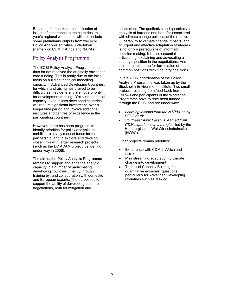Based on feedback and identification of issues of importance to the countries, this year's regional workshops will also include some preliminary outputs from two ecbi Policy Analysis activities undertaken (namely on CDM in Africa and NAPAs).

# Policy Analysis Programme

The ECBI Policy Analysis Programme has thus far not received the originally envisaged core funding. This is partly due to the initial focus on building technical modelling capacity in Advanced Developing Countries, for which fundraising has proved to be difficult, as they generally are not a priority for development funding. Yet such technical capacity, even in less developed countries, will require significant investment, over a longer time period and involve additional institutes and centres of excellence in the participating countries.

However, there has been progress: to identify priorities for policy analysis; to mobilise relatively modest funds for the partnership; and to explore and develop closer links with larger research projects (such as the EC ADAM project just getting under way in 2006).

The aim of the Policy Analysis Programme remains to support and enhance analytic capacity in a number of participating developing countries , mainly through training by, and collaboration with domestic and European experts. The purpose is to support the ability of developing countries in negotiations, both for mitigation and

adaptation. The qualitative and quantitative analysis of burdens and benefits associated with climate change policies, of the relative vulnerability to climate change impacts, and of urgent and effective adaptation strategies is not only a prerequisite of informed decision making; it is also essential in articulating, explaining and advocating a country's position in the negotiations. And the same holds true for formulation of common positions within country coalitions.

In late 2005, coordination of the Policy Analysis Programme was taken up by the Stockholm Environment Institute. Two small projects resulting from feed-back from Fellows and participants of the Workshop Programme have to date been funded through the ECBI and are under way:

- Learning lessons from the NAPAs led by SEI Oxford:
- Southeast Asia: Lessons learned from CDM experience in the region, led by the Hamburgisches WeltWirtschaftsInstitut (HWWI)

Other projects remain priorities:

- Experience with CDM in Africa and LDCs
- Mainstreaming adaptation to climate change into development
- Technical Capacity Building for quantitative economic questions, particularly for Advanced Developing Countries such as Mexico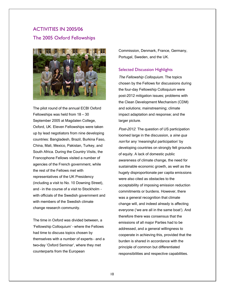# ACTIVITIES IN 2005/06 The 2005 Oxford Fellowships



The pilot round of the annual ECBI Oxford Fellowships was held from 18 — 30 September 2005 at Magdalen College, Oxford, UK. Eleven Fellowships were taken up by lead negotiators from nine developing countries: Bangladesh, Brazil, Burkina Faso, China, Mali, Mexico, Pakistan, Turkey, and South Africa. During the Country Visits, the Francophone Fellows visited a number of agencies of the French government, while the rest of the Fellows met with representatives of the UK Presidency (including a visit to No. 10 Downing Street), and – in the course of a visit to Stockholm – with officials of the Swedish government and with members of the Swedish climate change research community.

The time in Oxford was divided between, a 'Fellowship Colloquium' – where the Fellows had time to discuss topics chosen by themselves with a number of experts – and a two-day 'Oxford Seminar', where they met counterparts from the European

Commission, Denmark, France, Germany, Portugal, Sweden, and the UK.

#### Selected Discussion Highlights

The Fellowship Colloquium. The topics chosen by the Fellows for discussions during the four-day Fellowship Colloquium were post-2012 mitigation issues; problems with the Clean Development Mechanism (CDM) and solutions; mainstreaming; climate impact adaptation and response; and the larger picture.

Post-2012. The question of US participation loomed large in the discussion, a sine qua non for any 'meaningful participation' by developing countries on strongly felt grounds of equity. A lack of domestic public awareness of climate change, the need for sustainable economic growth, as well as the hugely disproportionate per capita emissions were also cited as obstacles to the acceptability of imposing emission reduction commitments or burdens. However, there was a general recognition that climate change will, and indeed already is affecting everyone ('we are all in the same boat'). And therefore there was consensus that the emissions of all major Parties had to be addressed, and a general willingness to cooperate in achieving this, provided that the burden is shared in accordance with the principle of common but differentiated responsibilities and respective capabilities.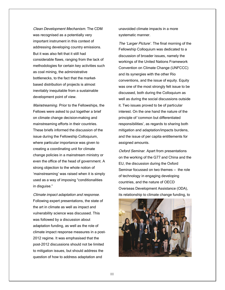Clean Development Mechanism. The CDM was recognised as a potentially very important instrument in this context of addressing developing country emissions. But it was also felt that it still had considerable flaws, ranging from the lack of methodologies for certain key activities such as coal mining, the administrative bottlenecks, to the fact that the marketbased distribution of projects is almost inevitably inequitable from a sustainable development point of view.

Mainstreaming. Prior to the Fellowships, the Fellows were asked to put together a brief on climate change decision-making and mainstreaming efforts in their countries. These briefs informed the discussion of the issue during the Fellowship Colloquium, where particular importance was given to creating a coordinating unit for climate change policies in a mainstream ministry or even the office of the head of government. A strong objection to the whole notion of 'mainstreaming' was raised when it is simply used as a way of imposing "conditionalities in disguise."

Climate impact adaptation and response. Following expert presentations, the state of the art in climate as well as impact and vulnerability science was discussed. This was followed by a discussion about adaptation funding, as well as the role of climate impact response measures in a post-2012 regime. It was emphasised that the post-2012 discussions should not be limited to mitigation issues, but should address the question of how to address adaptation and

unavoided climate impacts in a more systematic manner.

The 'Larger Picture'. The final morning of the Fellowship Colloquium was dedicated to a discussion of broader issues, namely the workings of the United Nations Framework Convention on Climate Change (UNFCCC) and its synergies with the other Rio conventions, and the issue of equity. Equity was one of the most strongly felt issue to be discussed, both during the Colloquium as well as during the social discussions outside it. Two issues proved to be of particular interest. On the one hand the nature of the principle of 'common but differentiated responsibilities', as regards to sharing both mitigation and adaptation/impacts burdens, and the issue of per capita entitlements for assigned amounts.

Oxford Seminar. Apart from presentations on the working of the G77 and China and the EU, the discussion during the Oxford Seminar focussed on two themes — the role of technology in engaging developing countries, and the nature of OECD Overseas Development Assistance (ODA), its relationship to climate change funding, to

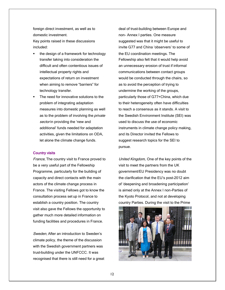foreign direct investment, as well as to domestic investment. Key points raised in these discussions included:

- the design of a framework for technology transfer taking into consideration the difficult and often contentious issues of intellectual property rights and expectations of return on investment when aiming to remove "barriers" for technology transfer.
- The need for innovative solutions to the problem of integrating adaptation measures into domestic planning as well as to the problem of involving the *private* sector in providing the 'new and additional' funds needed for adaptation activities, given the limitations on ODA, let alone the climate change funds.

#### Country visits

France. The country visit to France proved to be a very useful part of the Fellowship Programme, particularly for the building of capacity and direct contacts with the main actors of the climate change process in France. The visiting Fellows got to know the consultation process set up in France to establish a country position. The country visit also gave the Fellows the opportunity to gather much more detailed information on funding facilities and procedures in France.

Sweden. After an introduction to Sweden's climate policy, the theme of the discussion with the Swedish government partners was trust-building under the UNFCCC. It was recognised that there is still need for a great deal of trust-building between Europe and non- Annex I parties. One measure suggested was that it might be useful to invite G77 and China 'observers' to some of the EU coordination meetings. The Fellowship also felt that it would help avoid an unnecessary erosion of trust if informal communications between contact groups would be conducted through the chairs, so as to avoid the perception of trying to undermine the working of the groups, particularly those of G77+China, which due to their heterogeneity often have difficulties to reach a consensus as it stands. A visit to the Swedish Environment Institute (SEI) was used to discuss the use of economic instruments in climate change policy making, and its Director invited the Fellows to suggest research topics for the SEI to pursue.

United Kingdom. One of the key points of the visit to meet the partners from the UK government/EU Presidency was no doubt the clarification that the EU's post-2012 aim of 'deepening and broadening participation' is aimed only at the Annex I non-Parties of the Kyoto Protocol, and not at developing country Parties. During the visit to the Prime

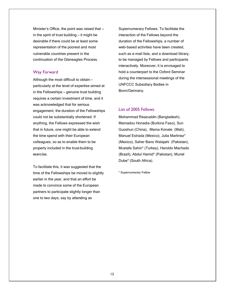Minister's Office, the point was raised that in the spirit of trust building — it might be desirable if there could be at least some representation of the poorest and most vulnerable countries present in the continuation of the Gleneagles Process.

#### Way Forward

Although the most difficult to obtain particularly at the level of expertise aimed at in the Fellowships — genuine trust building requires a certain investment of time, and it was acknowledged that for serious engagement, the duration of the Fellowships could not be substantially shortened. If anything, the Fellows expressed the wish that in future, one might be able to extend the time spend with their European colleagues, so as to enable them to be properly included in the trust-building exercise.

To facilitate this, it was suggested that the time of the Fellowships be moved to slightly earlier in the year, and that an effort be made to convince some of the European partners to participate slightly longer than one to two days, say by attending as

Supernumerary Fellows. To facilitate the interaction of the Fellows beyond the duration of the Fellowships, a number of web-based activities have been created, such as e-mail lists, and a download library, to be managed by Fellows and participants interactively. Moreover, it is envisaged to hold a counterpart to the Oxford Seminar during the intersessional meetings of the UNFCCC Subsidiary Bodies in Bonn/Germany.

#### List of 2005 Fellows

Mohammad Reazuddin (Bangladesh), Mamadou Honadia (Burkina Faso), Sun Guoshun (China), Mama Konate (Mali), Manuel Estrada (Mexico), Julia Martinez\* (Mexico), Saher Bano Walajahi (Pakistan), Mustafa Sahin\* (Turkey), Haroldo Machado (Brazil), Abdul Hamid\* (Pakistan), Muriel Dube\* (South Africa).

\* Supernumerary Fellow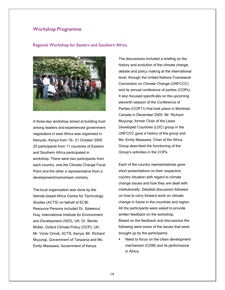#### Workshop Programme

#### Regional Workshop for Eastern and Southern Africa



A three-day workshop aimed at building trust among leaders and experienced government negotiators in east Africa was organised in Nanyuki, Kenya from 19— 21 October 2005. 25 participants from 11 countries of Eastern and Southern Africa participated in workshop. There were two participants from each country, one the Climate Change Focal Point and the other a representative from a development/mainstream ministry.

The local organisation was done by the Nairobi based Africa Centre for Technology Studies (ACTS) on behalf of ECBI. Resource Persons included Dr. Saleemul Huq, International Institute for Environment and Development (IIED), UK; Dr. Benito Müller, Oxford Climate Policy (OCP), UK; Mr. Victor Orindi, ACTS, Kenya; Mr. Richard Muyungi, Government of Tanzania and Ms. Emily Massawa, Government of Kenya.

The discussions included a briefing on the history and evolution of the climate change debate and policy making at the international level, through the United Nations Framework Convention on Climate Change (UNFCCC) and its annual conference of parties (COPs). It also focused specifically on the upcoming eleventh session of the Conference of Parties (COP11) that took place in Montreal, Canada in December 2005. Mr. Richard Muyungi, former Chair of the Least Developed Countries (LDC) group in the UNFCCC gave a history of the group and Ms. Emily Massawa, Chair of the Africa Group described the functioning of the Group's activities in the COPs.

Each of the country representatives gave short presentations on their respective country situation with regard to climate change issues and how they are dealt with institutionally. Detailed discussion followed on how to carry forward work on climate change in future in the countries and region. All the participants were asked to provide written feedback on the workshop. Based on the feedback and discussions the following were some of the issues that were brought up by the participants:

 Need to focus on the clean development mechanism (CDM) and its performance in Africa.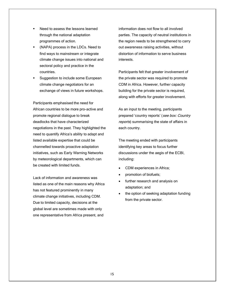- Need to assess the lessons learned through the national adaptation programmes of action.
- (NAPA) process in the LDCs. Need to find ways to mainstream or integrate climate change issues into national and sectoral policy and practice in the countries.
- Suggestion to include some European climate change negotiators for an exchange of views in future workshops.

Participants emphasised the need for African countries to be more pro-active and promote regional dialogue to break deadlocks that have characterized negotiations in the past. They highlighted the need to quantify Africa's ability to adapt and listed available expertise that could be channelled towards proactive adaptation initiatives, such as Early Warning Networks by meteorological departments, which can be created with limited funds.

Lack of information and awareness was listed as one of the main reasons why Africa has not featured prominently in many climate change initiatives, including CDM. Due to limited capacity, decisions at the global level are sometimes made with only one representative from Africa present, and

information does not flow to all involved parties. The capacity of neutral institutions in the region needs to be strengthened to carry out awareness raising activities, without distortion of information to serve business interests.

Participants felt that greater involvement of the private sector was required to promote CDM in Africa. However, further capacity building for the private sector is required, along with efforts for greater involvement.

As an input to the meeting, participants prepared 'country reports' (see box: Country reports) summarising the state of affairs in each country.

The meeting ended with participants identifying key areas to focus further discussions under the aegis of the ECBI, including:

- CDM experiences in Africa;
- promotion of biofuels;
- further research and analysis on adaptation; and
- the option of seeking adaptation funding from the private sector.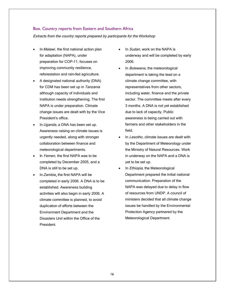#### Box. Country reports from Eastern and Southern Africa

Extracts from the country reports prepared by participants for the Workshop

- In *Malawi*, the first national action plan for adaptation (NAPA), under preparation for COP-11, focuses on improving community resilience, reforestation and rain-fed agriculture.
- A designated national authority (DNA) for CDM has been set up in Tanzania although capacity of individuals and institution needs strengthening. The first NAPA is under preparation. Climate change issues are dealt with by the Vice President's office.
- In Uganda, a DNA has been set up. Awareness raising on climate issues is urgently needed, along with stronger collaboration between finance and meteorological departments.
- In Yemen, the first NAPA was to be completed by December 2005, and a DNA is still to be set up.
- In Zambia, the first NAPA will be completed in early 2006. A DNA is to be established. Awareness building activities will also begin in early 2006. A climate committee is planned, to avoid duplication of efforts between the Environment Department and the Disasters Unit within the Office of the President.
- In Sudan, work on the NAPA is underway and will be completed by early 2006.
- In Botswana, the meteorological department is taking the lead on a climate change committee, with representatives from other sectors, including water, finance and the private sector. The committee meets after every 3 months. A DNA is not yet established due to lack of capacity. Public awareness is being carried out with farmers and other stakeholders in the field.
- In Lesotho, climate issues are dealt with by the Department of Meteorology under the Ministry of Natural Resources. Work in underway on the NAPA and a DNA is yet to be set up.
- In Ethiopia, the Meteorological Department prepared the initial national communication. Preparation of the NAPA was delayed due to delay in flow of resources from UNDP. A council of ministers decided that all climate change issues be handled by the Environmental Protection Agency partnered by the Meteorological Department.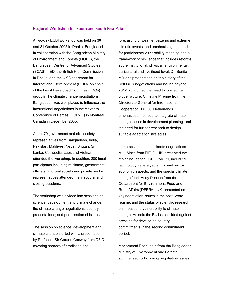#### Regional Workshop for South and South East Asia

A two-day ECBI workshop was held on 30 and 31 October 2005 in Dhaka, Bangladesh, in collaboration with the Bangladesh Ministry of Environment and Forests (MOEF), the Bangladesh Centre for Advanced Studies (BCAS), IIED, the British High Commission in Dhaka, and the UK Department for International Development (DFID). As chair of the Least Developed Countries (LDCs) group in the climate change negotiations, Bangladesh was well placed to influence the international negotiations in the eleventh Conference of Parties (COP-11) in Montreal, Canada in December 2005.

About 70 government and civil society representatives from Bangladesh, India, Pakistan, Maldives, Nepal, Bhutan, Sri Lanka, Cambodia, Laos and Vietnam attended the workshop. In addition, 200 local participants including ministers, government officials, and civil society and private sector representatives attended the inaugural and closing sessions.

The workshop was divided into sessions on science, development and climate change; the climate change negotiations; country presentations; and prioritisation of issues.

The session on science, development and climate change started with a presentation by Professor Sir Gordon Conway from DFID, covering aspects of prediction and

forecasting of weather patterns and extreme climatic events, and emphasising the need for participatory vulnerability mapping and a framework of resilience that includes reforms at the institutional, physical, environmental, agricultural and livelihood level. Dr. Benito Müller's presentation on the history of the UNFCCC negotiations and issues beyond 2012 highlighted the need to look at the bigger picture. Christine Pirenne from the Directorate-General for International Cooperation (DGIS), Netherlands, emphasised the need to integrate climate change issues in development planning, and the need for further research to design suitable adaptation strategies.

In the session on the climate negotiations, M.J. Mace from FIELD, UK, presented the major Issues for COP11/MOP1, including technology transfer, scientific and socioeconomic aspects, and the special climate change fund. Andy Deacon from the Department for Environment, Food and Rural Affairs (DEFRA), UK, presented on key negotiation issues in the post-Kyoto regime, and the status of scientific research on impact and vulnerability to climate change. He said the EU had decided against pressing for developing country commitments in the second commitment period.

Mohammad Reazuddin from the Bangladesh Ministry of Environment and Forests summarised forthcoming negotiation issues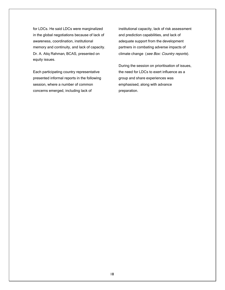for LDCs. He said LDCs were marginalized in the global negotiations because of lack of awareness, coordination, institutional memory and continuity, and lack of capacity. Dr. A. Atiq Rahman, BCAS, presented on equity issues.

Each participating country representative presented informal reports in the following session, where a number of common concerns emerged, including lack of

institutional capacity, lack of risk assessment and prediction capabilities, and lack of adequate support from the development partners in combating adverse impacts of climate change (see Box: Country reports).

During the session on prioritisation of issues, the need for LDCs to exert influence as a group and share experiences was emphasised, along with advance preparation.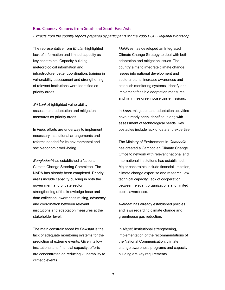#### Box. Country Reports from South and South East Asia

Extracts from the country reports prepared by participants for the 2005 ECBI Regional Workshop

The representative from Bhutan highlighted lack of information and limited capacity as key constraints. Capacity building, meteorological information and infrastructure, better coordination, training in vulnerability assessment and strengthening of relevant institutions were identified as priority areas.

Sri Lanka highlighted vulnerability assessment, adaptation and mitigation measures as priority areas.

In *India*, efforts are underway to implement necessary institutional arrangements and reforms needed for its environmental and socio-economic well-being.

Bangladesh has established a National Climate Change Steering Committee. The NAPA has already been completed. Priority areas include capacity building in both the government and private sector, strengthening of the knowledge base and data collection, awareness raising, advocacy and coordination between relevant institutions and adaptation measures at the stakeholder level.

The main constrain faced by Pakistan is the lack of adequate monitoring systems for the prediction of extreme events. Given its low institutional and financial capacity, efforts are concentrated on reducing vulnerability to climatic events.

Maldives has developed an Integrated Climate Change Strategy to deal with both adaptation and mitigation issues. The country aims to integrate climate change issues into national development and sectoral plans, increase awareness and establish monitoring systems, identify and implement feasible adaptation measures, and minimise greenhouse gas emissions.

In Laos, mitigation and adaptation activities have already been identified, along with assessment of technological needs. Key obstacles include lack of data and expertise.

The Ministry of Environment in Cambodia has created a Cambodian Climate Change Office to network with relevant national and international institutions has established. Major constraints include financial limitation, climate change expertise and research, low technical capacity, lack of cooperation between relevant organizations and limited public awareness.

Vietnam has already established policies and laws regarding climate change and greenhouse gas reduction.

In Nepal, institutional strengthening, implementation of the recommendations of the National Communication, climate change awareness programs and capacity building are key requirements.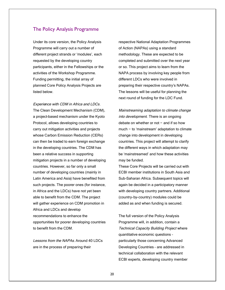# The Policy Analysis Programme

Under its core version, the Policy Analysis Programme will carry out a number of different project strands or 'modules', each requested by the developing country participants, either in the Fellowships or the activities of the Workshop Programme. Funding permitting, the initial array of planned Core Policy Analysis Projects are listed below.

Experience with CDM in Africa and LDCs. The Clean Development Mechanism (CDM), a project-based mechanism under the Kyoto Protocol, allows developing countries to carry out mitigation activities and projects whose Carbon Emission Reduction (CERs) can then be traded to earn foreign exchange in the developing countries. The CDM has been a relative success in supporting mitigation projects in a number of developing countries. However, so far only a small number of developing countries (mainly in Latin America and Asia) have benefited from such projects. The poorer ones (for instance, in Africa and the LDCs) have not yet been able to benefit from the CDM. The project will gather experience on CDM promotion in Africa and LDCs and develop recommendations to enhance the opportunities for poorer developing countries to benefit from the CDM.

Lessons from the NAPAs. Around 40 LDCs are in the process of preparing their

respective National Adaptation Programmes of Action (NAPAs) using a standard methodology. These are expected to be completed and submitted over the next year or so. This project aims to learn from the NAPA process by involving key people from different LDCs who were involved in preparing their respective country's NAPAs. The lessons will be useful for planning the next round of funding for the LDC Fund.

Mainstreaming adaptation to climate change into development. There is an ongoing debate on whether or not − and if so how much − to 'mainstream' adaptation to climate change into development in developing countries. This project will attempt to clarify the different ways in which adaptation may be 'mainstreamed' and how these activities may be funded.

These Core Projects will be carried out with ECBI member institutions in South Asia and Sub-Saharan Africa. Subsequent topics will again be decided in a participatory manner with developing country partners. Additional (country-by-country) modules could be added as and when funding is secured.

The full version of the Policy Analysis Programme will, in addition, contain a Technical Capacity Building Project where quantitative economic questions – particularly those concerning Advanced Developing Countries – are addressed in technical collaboration with the relevant ECBI experts, developing country member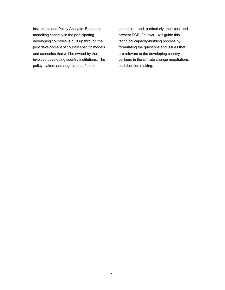institutions and Policy Analysts. Economic modelling capacity in the participating developing countries is built up through the joint development of country specific models and scenarios that will be owned by the involved developing country institutions. The policy makers and negotiators of these

countries — and, particularly, their past and present ECBI Fellows — will guide this technical capacity-building process by formulating the questions and issues that are relevant to the developing country partners in the climate change negotiations and decision making.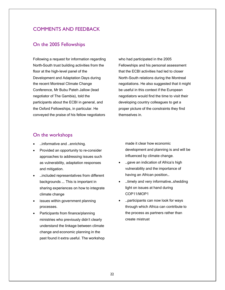# COMMENTS AND FEEDBACK

## On the 2005 Fellowships

Following a request for information regarding North-South trust building activities from the floor at the high-level panel of the Development and Adaptation Days during the recent Montreal Climate Change Conference, Mr Bubu Pateh Jallow (lead negotiator of The Gambia), told the participants about the ECBI in general, and the Oxford Fellowships, in particular. He conveyed the praise of his fellow negotiators

who had participated in the 2005 Fellowships and his personal assessment that the ECBI activities had led to closer North-South relations during the Montreal negotiations. He also suggested that it might be useful in this context if the European negotiators would find the time to visit their developing country colleagues to get a proper picture of the constraints they find themselves in.

# On the workshops

- …informative and …enriching.
- Provided an opportunity to re-consider approaches to addressing issues such as vulnerability, adaptation responses and mitigation.
- …included representatives from different backgrounds …. This is important in sharing experiences on how to integrate climate change
- issues within government planning processes.
- Participants from finance/planning ministries who previously didn't clearly understand the linkage between climate change and economic planning in the past found it extra useful. The workshop

made it clear how economic development and planning is and will be influenced by climate change.

- …gave an indication of Africa's high vulnerability and the importance of having an African position…
- …timely and very informative…shedding light on issues at hand during COP11/MOP1
- …participants can now look for ways through which Africa can contribute to the process as partners rather than create mistrust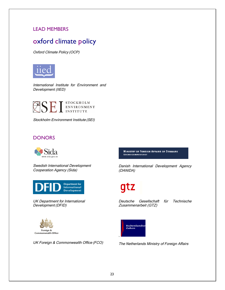# LEAD MEMBERS

# oxford climate policy

Oxford Climate Policy (OCP)



International Institute for Environment and Development (IIED)



Stockholm Environment Institute (SEI)

# **DONORS**



Swedish International Development Cooperation Agency (Sida)



UK Department for International Development (DFID)



UK Foreign & Commonwealth Office (FCO)

**MINISTRY OF FOREIGN AFFAIRS OF DENMARK** UDENRIGSMINISTERIET

Danish International Development Agency (DANIDA)

gtz

Deutsche Gesellschaft für Technische



Zusammenarbeit (GTZ)

The Netherlands Ministry of Foreign Affairs